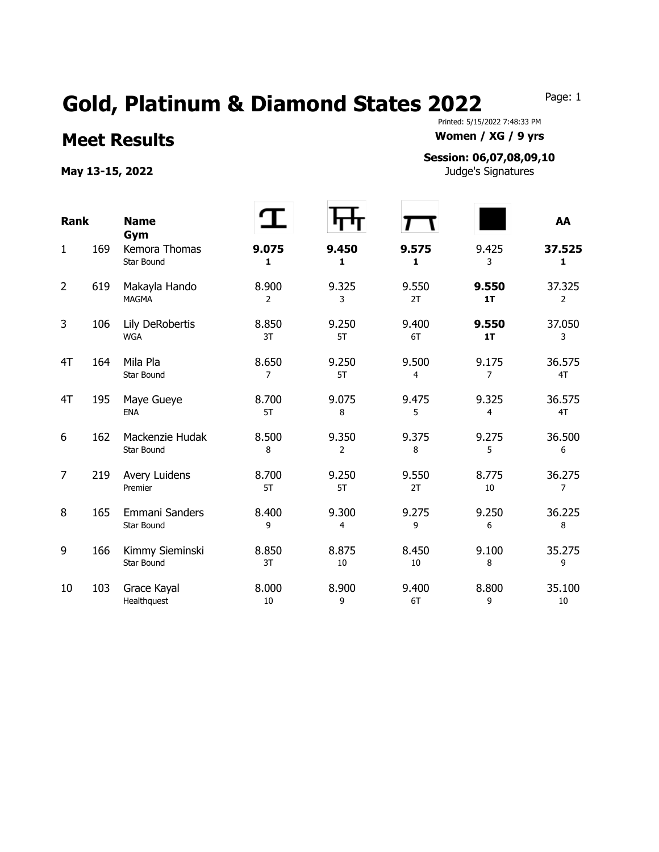## Gold, Platinum & Diamond States 2022 Page: 1

## **Meet Results Women / XG / 9 yrs**

May 13-15, 2022 **May 13-15, 2022 Judge's Signatures** 

Printed: 5/15/2022 7:48:33 PM

## **Session: 06,07,08,09,10**

| <b>Rank</b>    |     | <b>Name</b><br>Gym                   |             |                         |             |             | AA                       |
|----------------|-----|--------------------------------------|-------------|-------------------------|-------------|-------------|--------------------------|
| $\mathbf{1}$   | 169 | Kemora Thomas<br>Star Bound          | 9.075<br>1  | 9.450<br>1              | 9.575<br>1  | 9.425<br>3  | 37.525<br>$\mathbf{1}$   |
| $\overline{2}$ | 619 | Makayla Hando<br><b>MAGMA</b>        | 8.900<br>2  | 9.325<br>3              | 9.550<br>2T | 9.550<br>1T | 37.325<br>$\overline{2}$ |
| 3              | 106 | Lily DeRobertis<br><b>WGA</b>        | 8.850<br>3T | 9.250<br>5T             | 9.400<br>6T | 9.550<br>1T | 37.050<br>3              |
| 4T             | 164 | Mila Pla<br><b>Star Bound</b>        | 8.650<br>7  | 9.250<br>5T             | 9.500<br>4  | 9.175<br>7  | 36.575<br>4T             |
| 4T             | 195 | Maye Gueye<br><b>ENA</b>             | 8.700<br>5T | 9.075<br>8              | 9.475<br>5  | 9.325<br>4  | 36.575<br>4T             |
| 6              | 162 | Mackenzie Hudak<br><b>Star Bound</b> | 8.500<br>8  | 9.350<br>$\overline{2}$ | 9.375<br>8  | 9.275<br>5  | 36.500<br>6              |
| $\overline{7}$ | 219 | Avery Luidens<br>Premier             | 8.700<br>5T | 9.250<br>5T             | 9.550<br>2T | 8.775<br>10 | 36.275<br>7              |
| 8              | 165 | Emmani Sanders<br>Star Bound         | 8.400<br>9  | 9.300<br>4              | 9.275<br>9  | 9.250<br>6  | 36.225<br>8              |
| 9              | 166 | Kimmy Sieminski<br><b>Star Bound</b> | 8.850<br>3T | 8.875<br>10             | 8.450<br>10 | 9.100<br>8  | 35.275<br>9              |
| 10             | 103 | Grace Kayal<br>Healthquest           | 8.000<br>10 | 8.900<br>9              | 9.400<br>6T | 8.800<br>9  | 35.100<br>10             |